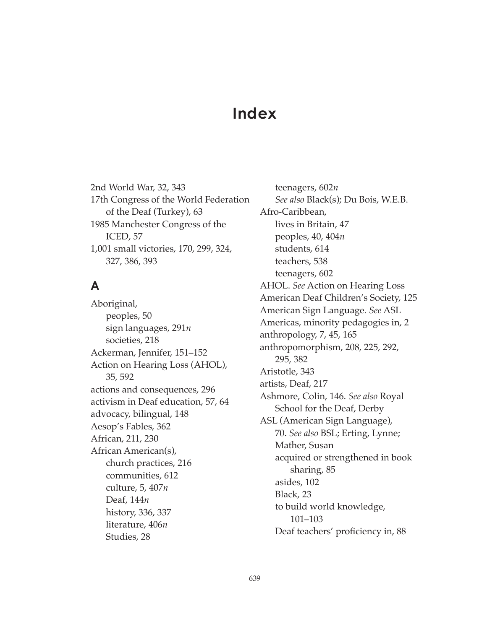# **Index**

2nd World War, 32, 343 17th Congress of the World Federation of the Deaf (Turkey), 63 1985 Manchester Congress of the ICED, 57 1,001 small victories, 170, 299, 324, 327, 386, 393

# **A**

Aboriginal, peoples, 50 sign languages, 291*n* societies, 218 Ackerman, Jennifer, 151–152 Action on Hearing Loss (AHOL), 35, 592 actions and consequences, 296 activism in Deaf education, 57, 64 advocacy, bilingual, 148 Aesop's Fables, 362 African, 211, 230 African American(s), church practices, 216 communities, 612 culture, 5, 407*n* Deaf, 144*n* history, 336, 337 literature, 406*n* Studies, 28

teenagers, 602*n See also* Black(s); Du Bois, W.E.B. Afro-Caribbean, lives in Britain, 47 peoples, 40, 404*n* students, 614 teachers, 538 teenagers, 602 AHOL. *See* Action on Hearing Loss American Deaf Children's Society, 125 American Sign Language. *See* ASL Americas, minority pedagogies in, 2 anthropology, 7, 45, 165 anthropomorphism, 208, 225, 292, 295, 382 Aristotle, 343 artists, Deaf, 217 Ashmore, Colin, 146. *See also* Royal School for the Deaf, Derby ASL (American Sign Language), 70. *See also* BSL; Erting, Lynne; Mather, Susan acquired or strengthened in book sharing, 85 asides, 102 Black, 23 to build world knowledge, 101–103 Deaf teachers' proficiency in, 88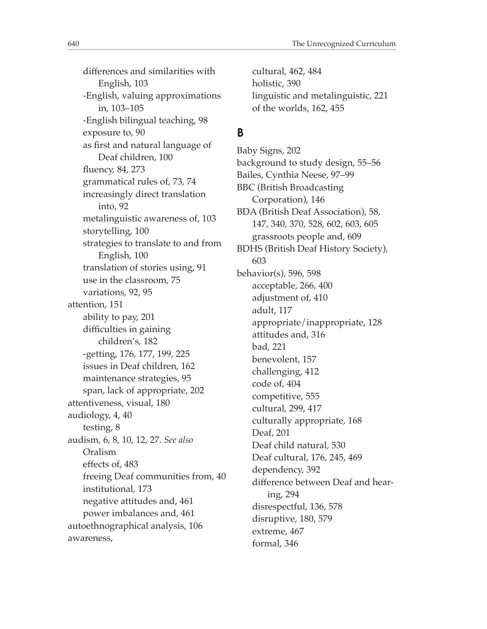diferences and similarities with English, 103 -English, valuing approximations in, 103–105 -English bilingual teaching, 98 exposure to, 90 as frst and natural language of Deaf children, 100 fuency, 84, 273 grammatical rules of, 73, 74 increasingly direct translation into, 92 metalinguistic awareness of, 103 storytelling, 100 strategies to translate to and from English, 100 translation of stories using, 91 use in the classroom, 75 variations, 92, 95 attention, 151 ability to pay, 201 difficulties in gaining children's, 182 -getting, 176, 177, 199, 225 issues in Deaf children, 162 maintenance strategies, 95 span, lack of appropriate, 202 attentiveness, visual, 180 audiology, 4, 40 testing, 8 audism, 6, 8, 10, 12, 27. *See also* Oralism efects of, 483 freeing Deaf communities from, 40 institutional, 173 negative attitudes and, 461 power imbalances and, 461 autoethnographical analysis, 106 awareness,

cultural, 462, 484 holistic, 390 linguistic and metalinguistic, 221 of the worlds, 162, 455

## **B**

Baby Signs, 202 background to study design, 55–56 Bailes, Cynthia Neese, 97–99 BBC (British Broadcasting Corporation), 146 BDA (British Deaf Association), 58, 147, 340, 370, 528, 602, 603, 605 grassroots people and, 609 BDHS (British Deaf History Society), 603 behavior(s), 596, 598 acceptable, 266, 400 adjustment of, 410 adult, 117 appropriate/inappropriate, 128 attitudes and, 316 bad, 221 benevolent, 157 challenging, 412 code of, 404 competitive, 555 cultural, 299, 417 culturally appropriate, 168 Deaf, 201 Deaf child natural, 530 Deaf cultural, 176, 245, 469 dependency, 392 diference between Deaf and hearing, 294 disrespectful, 136, 578 disruptive, 180, 579 extreme, 467 formal, 346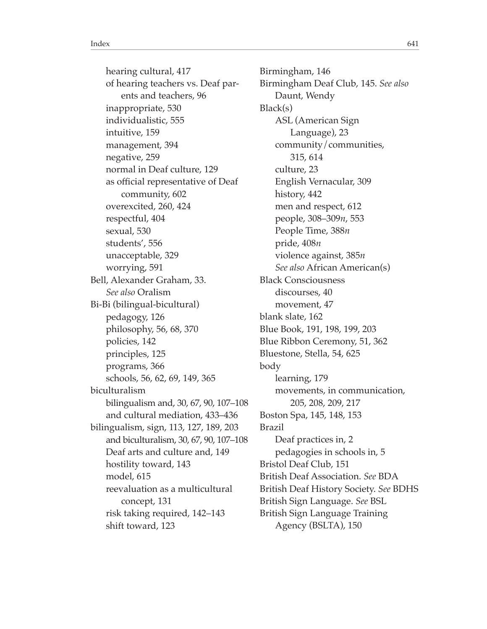hearing cultural, 417 of hearing teachers vs. Deaf parents and teachers, 96 inappropriate, 530 individualistic, 555 intuitive, 159 management, 394 negative, 259 normal in Deaf culture, 129 as official representative of Deaf community, 602 overexcited, 260, 424 respectful, 404 sexual, 530 students', 556 unacceptable, 329 worrying, 591 Bell, Alexander Graham, 33. *See also* Oralism Bi-Bi (bilingual-bicultural) pedagogy, 126 philosophy, 56, 68, 370 policies, 142 principles, 125 programs, 366 schools, 56, 62, 69, 149, 365 biculturalism bilingualism and, 30, 67, 90, 107–108 and cultural mediation, 433–436 bilingualism, sign, 113, 127, 189, 203 and biculturalism, 30, 67, 90, 107–108 Deaf arts and culture and, 149 hostility toward, 143 model, 615 reevaluation as a multicultural concept, 131 risk taking required, 142–143 shift toward, 123

Birmingham, 146 Birmingham Deaf Club, 145. *See also* Daunt, Wendy Black(s) ASL (American Sign Language), 23 community/communities, 315, 614 culture, 23 English Vernacular, 309 history, 442 men and respect, 612 people, 308–309*n*, 553 People Time, 388*n* pride, 408*n* violence against, 385*n See also* African American(s) Black Consciousness discourses, 40 movement, 47 blank slate, 162 Blue Book, 191, 198, 199, 203 Blue Ribbon Ceremony, 51, 362 Bluestone, Stella, 54, 625 body learning, 179 movements, in communication, 205, 208, 209, 217 Boston Spa, 145, 148, 153 Brazil Deaf practices in, 2 pedagogies in schools in, 5 Bristol Deaf Club, 151 British Deaf Association. *See* BDA British Deaf History Society. *See* BDHS British Sign Language. *See* BSL British Sign Language Training Agency (BSLTA), 150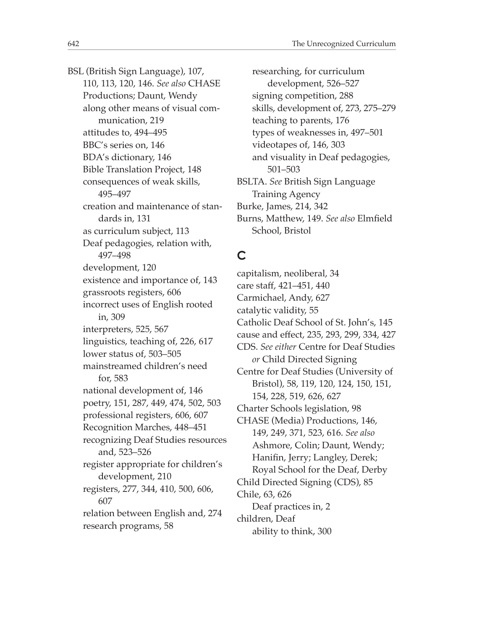BSL (British Sign Language), 107, 110, 113, 120, 146. *See also* CHASE Productions; Daunt, Wendy along other means of visual communication, 219 attitudes to, 494–495 BBC's series on, 146 BDA's dictionary, 146 Bible Translation Project, 148 consequences of weak skills, 495–497 creation and maintenance of standards in, 131 as curriculum subject, 113 Deaf pedagogies, relation with, 497–498 development, 120 existence and importance of, 143 grassroots registers, 606 incorrect uses of English rooted in, 309 interpreters, 525, 567 linguistics, teaching of, 226, 617 lower status of, 503–505 mainstreamed children's need for, 583 national development of, 146 poetry, 151, 287, 449, 474, 502, 503 professional registers, 606, 607 Recognition Marches, 448–451 recognizing Deaf Studies resources and, 523–526 register appropriate for children's development, 210 registers, 277, 344, 410, 500, 606, 607 relation between English and, 274 research programs, 58

researching, for curriculum development, 526–527 signing competition, 288 skills, development of, 273, 275–279 teaching to parents, 176 types of weaknesses in, 497–501 videotapes of, 146, 303 and visuality in Deaf pedagogies, 501–503 BSLTA. *See* British Sign Language Training Agency Burke, James, 214, 342 Burns, Matthew, 149. *See also* Elmfeld School, Bristol

#### **C**

capitalism, neoliberal, 34 care staf, 421–451, 440 Carmichael, Andy, 627 catalytic validity, 55 Catholic Deaf School of St. John's, 145 cause and efect, 235, 293, 299, 334, 427 CDS. *See either* Centre for Deaf Studies *or* Child Directed Signing Centre for Deaf Studies (University of Bristol), 58, 119, 120, 124, 150, 151, 154, 228, 519, 626, 627 Charter Schools legislation, 98 CHASE (Media) Productions, 146, 149, 249, 371, 523, 616. *See also* Ashmore, Colin; Daunt, Wendy; Hanifn, Jerry; Langley, Derek; Royal School for the Deaf, Derby Child Directed Signing (CDS), 85 Chile, 63, 626 Deaf practices in, 2 children, Deaf ability to think, 300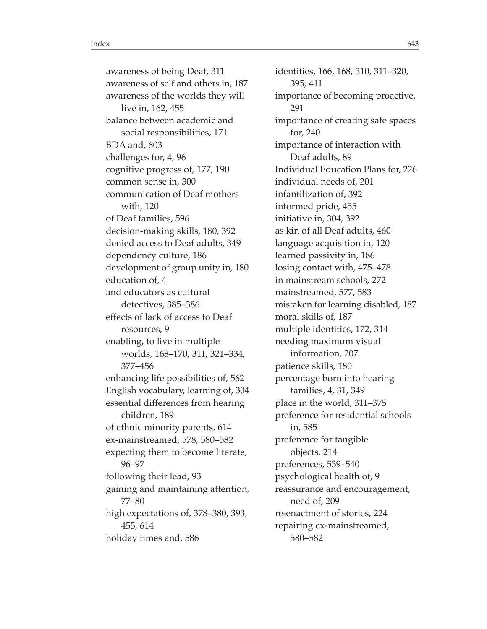awareness of being Deaf, 311 awareness of self and others in, 187 awareness of the worlds they will live in, 162, 455 balance between academic and social responsibilities, 171 BDA and, 603 challenges for, 4, 96 cognitive progress of, 177, 190 common sense in, 300 communication of Deaf mothers with, 120 of Deaf families, 596 decision-making skills, 180, 392 denied access to Deaf adults, 349 dependency culture, 186 development of group unity in, 180 education of, 4 and educators as cultural detectives, 385–386 efects of lack of access to Deaf resources, 9 enabling, to live in multiple worlds, 168–170, 311, 321–334, 377–456 enhancing life possibilities of, 562 English vocabulary, learning of, 304 essential diferences from hearing children, 189 of ethnic minority parents, 614 ex-mainstreamed, 578, 580–582 expecting them to become literate, 96–97 following their lead, 93 gaining and maintaining attention, 77–80 high expectations of, 378–380, 393, 455, 614 holiday times and, 586

identities, 166, 168, 310, 311–320, 395, 411 importance of becoming proactive, 291 importance of creating safe spaces for, 240 importance of interaction with Deaf adults, 89 Individual Education Plans for, 226 individual needs of, 201 infantilization of, 392 informed pride, 455 initiative in, 304, 392 as kin of all Deaf adults, 460 language acquisition in, 120 learned passivity in, 186 losing contact with, 475–478 in mainstream schools, 272 mainstreamed, 577, 583 mistaken for learning disabled, 187 moral skills of, 187 multiple identities, 172, 314 needing maximum visual information, 207 patience skills, 180 percentage born into hearing families, 4, 31, 349 place in the world, 311–375 preference for residential schools in, 585 preference for tangible objects, 214 preferences, 539–540 psychological health of, 9 reassurance and encouragement, need of, 209 re-enactment of stories, 224 repairing ex-mainstreamed, 580–582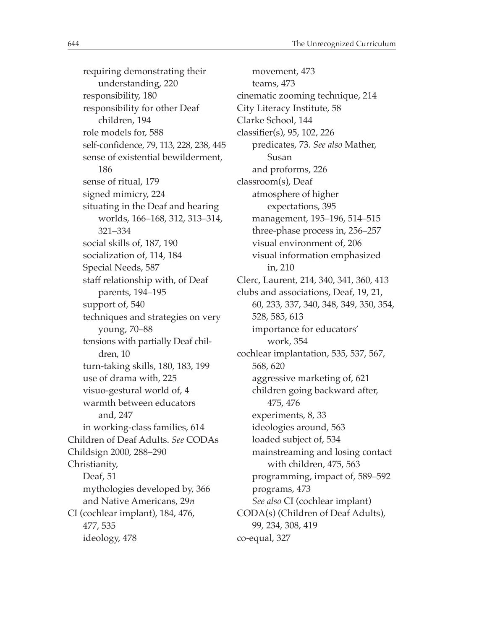requiring demonstrating their understanding, 220 responsibility, 180 responsibility for other Deaf children, 194 role models for, 588 self-confdence, 79, 113, 228, 238, 445 sense of existential bewilderment, 186 sense of ritual, 179 signed mimicry, 224 situating in the Deaf and hearing worlds, 166–168, 312, 313–314, 321–334 social skills of, 187, 190 socialization of, 114, 184 Special Needs, 587 staff relationship with, of Deaf parents, 194–195 support of, 540 techniques and strategies on very young, 70–88 tensions with partially Deaf children, 10 turn-taking skills, 180, 183, 199 use of drama with, 225 visuo-gestural world of, 4 warmth between educators and, 247 in working-class families, 614 Children of Deaf Adults. *See* CODAs Childsign 2000, 288–290 Christianity, Deaf, 51 mythologies developed by, 366 and Native Americans, 29*n* CI (cochlear implant), 184, 476, 477, 535 ideology, 478

movement, 473 teams, 473 cinematic zooming technique, 214 City Literacy Institute, 58 Clarke School, 144 classifer(s), 95, 102, 226 predicates, 73. *See also* Mather, Susan and proforms, 226 classroom(s), Deaf atmosphere of higher expectations, 395 management, 195–196, 514–515 three-phase process in, 256–257 visual environment of, 206 visual information emphasized in, 210 Clerc, Laurent, 214, 340, 341, 360, 413 clubs and associations, Deaf, 19, 21, 60, 233, 337, 340, 348, 349, 350, 354, 528, 585, 613 importance for educators' work, 354 cochlear implantation, 535, 537, 567, 568, 620 aggressive marketing of, 621 children going backward after, 475, 476 experiments, 8, 33 ideologies around, 563 loaded subject of, 534 mainstreaming and losing contact with children, 475, 563 programming, impact of, 589–592 programs, 473 *See also* CI (cochlear implant) CODA(s) (Children of Deaf Adults), 99, 234, 308, 419 co-equal, 327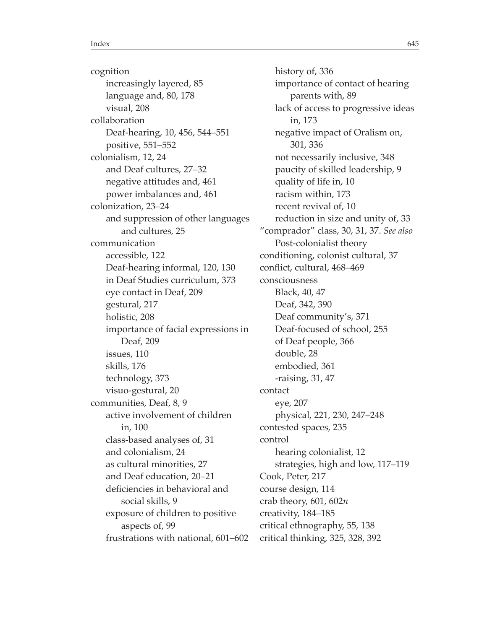cognition increasingly layered, 85 language and, 80, 178 visual, 208 collaboration Deaf-hearing, 10, 456, 544–551 positive, 551–552 colonialism, 12, 24 and Deaf cultures, 27–32 negative attitudes and, 461 power imbalances and, 461 colonization, 23–24 and suppression of other languages and cultures, 25 communication accessible, 122 Deaf-hearing informal, 120, 130 in Deaf Studies curriculum, 373 eye contact in Deaf, 209 gestural, 217 holistic, 208 importance of facial expressions in Deaf, 209 issues, 110 skills, 176 technology, 373 visuo-gestural, 20 communities, Deaf, 8, 9 active involvement of children in, 100 class-based analyses of, 31 and colonialism, 24 as cultural minorities, 27 and Deaf education, 20–21 deficiencies in behavioral and social skills, 9 exposure of children to positive aspects of, 99 frustrations with national, 601–602

history of, 336 importance of contact of hearing parents with, 89 lack of access to progressive ideas in, 173 negative impact of Oralism on, 301, 336 not necessarily inclusive, 348 paucity of skilled leadership, 9 quality of life in, 10 racism within, 173 recent revival of, 10 reduction in size and unity of, 33 "comprador" class, 30, 31, 37. *See also* Post-colonialist theory conditioning, colonist cultural, 37 confict, cultural, 468–469 consciousness Black, 40, 47 Deaf, 342, 390 Deaf community's, 371 Deaf-focused of school, 255 of Deaf people, 366 double, 28 embodied, 361 -raising, 31, 47 contact eye, 207 physical, 221, 230, 247–248 contested spaces, 235 control hearing colonialist, 12 strategies, high and low, 117–119 Cook, Peter, 217 course design, 114 crab theory, 601, 602*n* creativity, 184–185 critical ethnography, 55, 138 critical thinking, 325, 328, 392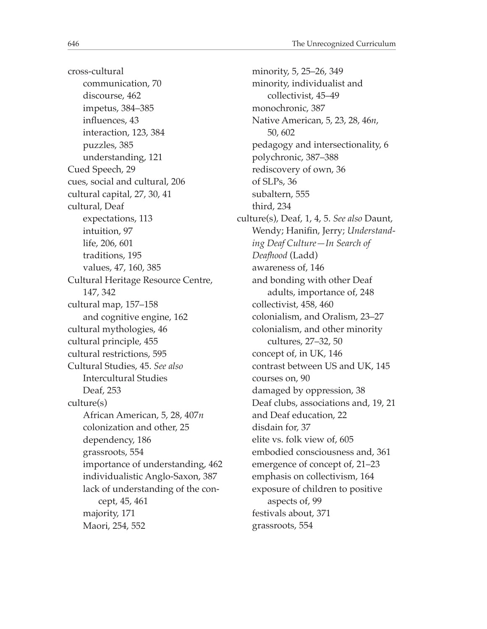cross-cultural communication, 70 discourse, 462 impetus, 384–385 infuences, 43 interaction, 123, 384 puzzles, 385 understanding, 121 Cued Speech, 29 cues, social and cultural, 206 cultural capital, 27, 30, 41 cultural, Deaf expectations, 113 intuition, 97 life, 206, 601 traditions, 195 values, 47, 160, 385 Cultural Heritage Resource Centre, 147, 342 cultural map, 157–158 and cognitive engine, 162 cultural mythologies, 46 cultural principle, 455 cultural restrictions, 595 Cultural Studies, 45. *See also* Intercultural Studies Deaf, 253 culture(s) African American, 5, 28, 407*n* colonization and other, 25 dependency, 186 grassroots, 554 importance of understanding, 462 individualistic Anglo-Saxon, 387 lack of understanding of the concept, 45, 461 majority, 171 Maori, 254, 552

minority, 5, 25–26, 349 minority, individualist and collectivist, 45–49 monochronic, 387 Native American, 5, 23, 28, 46*n*, 50, 602 pedagogy and intersectionality, 6 polychronic, 387–388 rediscovery of own, 36 of SLPs, 36 subaltern, 555 third, 234 culture(s), Deaf, 1, 4, 5. *See also* Daunt, Wendy; Hanifn, Jerry; *Understanding Deaf Culture—In Search of Deafhood* (Ladd) awareness of, 146 and bonding with other Deaf adults, importance of, 248 collectivist, 458, 460 colonialism, and Oralism, 23–27 colonialism, and other minority cultures, 27–32, 50 concept of, in UK, 146 contrast between US and UK, 145 courses on, 90 damaged by oppression, 38 Deaf clubs, associations and, 19, 21 and Deaf education, 22 disdain for, 37 elite vs. folk view of, 605 embodied consciousness and, 361 emergence of concept of, 21–23 emphasis on collectivism, 164 exposure of children to positive aspects of, 99 festivals about, 371 grassroots, 554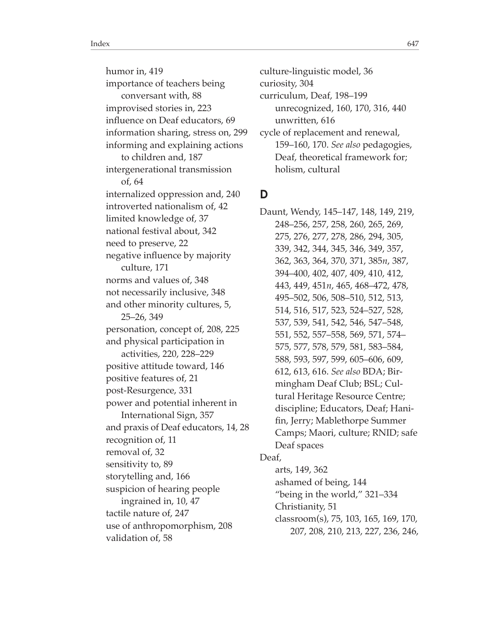humor in, 419 importance of teachers being conversant with, 88 improvised stories in, 223 infuence on Deaf educators, 69 information sharing, stress on, 299 informing and explaining actions to children and, 187 intergenerational transmission of, 64 internalized oppression and, 240 introverted nationalism of, 42 limited knowledge of, 37 national festival about, 342 need to preserve, 22 negative infuence by majority culture, 171 norms and values of, 348 not necessarily inclusive, 348 and other minority cultures, 5, 25–26, 349 personation, concept of, 208, 225 and physical participation in activities, 220, 228–229 positive attitude toward, 146 positive features of, 21 post-Resurgence, 331 power and potential inherent in International Sign, 357 and praxis of Deaf educators, 14, 28 recognition of, 11 removal of, 32 sensitivity to, 89 storytelling and, 166 suspicion of hearing people ingrained in, 10, 47 tactile nature of, 247 use of anthropomorphism, 208 validation of, 58

culture-linguistic model, 36 curiosity, 304 curriculum, Deaf, 198–199 unrecognized, 160, 170, 316, 440 unwritten, 616 cycle of replacement and renewal, 159–160, 170. *See also* pedagogies, Deaf, theoretical framework for; holism, cultural

#### **D**

Daunt, Wendy, 145–147, 148, 149, 219, 248–256, 257, 258, 260, 265, 269, 275, 276, 277, 278, 286, 294, 305, 339, 342, 344, 345, 346, 349, 357, 362, 363, 364, 370, 371, 385*n*, 387, 394–400, 402, 407, 409, 410, 412, 443, 449, 451*n*, 465, 468–472, 478, 495–502, 506, 508–510, 512, 513, 514, 516, 517, 523, 524–527, 528, 537, 539, 541, 542, 546, 547–548, 551, 552, 557–558, 569, 571, 574– 575, 577, 578, 579, 581, 583–584, 588, 593, 597, 599, 605–606, 609, 612, 613, 616. *See also* BDA; Birmingham Deaf Club; BSL; Cultural Heritage Resource Centre; discipline; Educators, Deaf; Hanifn, Jerry; Mablethorpe Summer Camps; Maori, culture; RNID; safe Deaf spaces Deaf, arts, 149, 362 ashamed of being, 144 "being in the world," 321–334 Christianity, 51 classroom(s), 75, 103, 165, 169, 170,

207, 208, 210, 213, 227, 236, 246,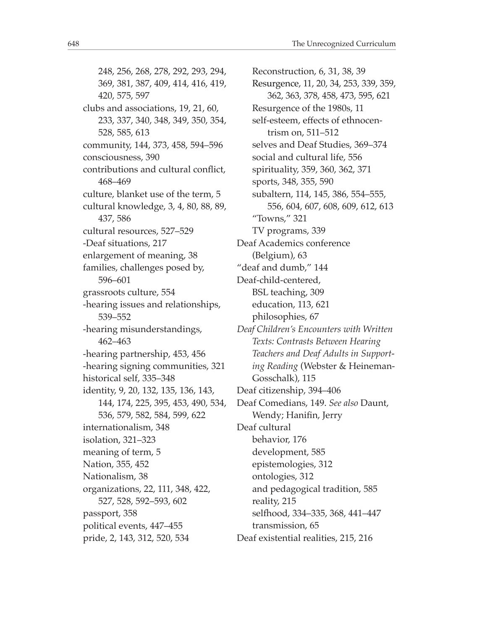248, 256, 268, 278, 292, 293, 294, 369, 381, 387, 409, 414, 416, 419, 420, 575, 597 clubs and associations, 19, 21, 60, 233, 337, 340, 348, 349, 350, 354, 528, 585, 613 community, 144, 373, 458, 594–596 consciousness, 390 contributions and cultural confict, 468–469 culture, blanket use of the term, 5 cultural knowledge, 3, 4, 80, 88, 89, 437, 586 cultural resources, 527–529 -Deaf situations, 217 enlargement of meaning, 38 families, challenges posed by, 596–601 grassroots culture, 554 -hearing issues and relationships, 539–552 -hearing misunderstandings, 462–463 -hearing partnership, 453, 456 -hearing signing communities, 321 historical self, 335–348 identity, 9, 20, 132, 135, 136, 143, 144, 174, 225, 395, 453, 490, 534, 536, 579, 582, 584, 599, 622 internationalism, 348 isolation, 321–323 meaning of term, 5 Nation, 355, 452 Nationalism, 38 organizations, 22, 111, 348, 422, 527, 528, 592–593, 602 passport, 358 political events, 447–455 pride, 2, 143, 312, 520, 534

Reconstruction, 6, 31, 38, 39 Resurgence, 11, 20, 34, 253, 339, 359, 362, 363, 378, 458, 473, 595, 621 Resurgence of the 1980s, 11 self-esteem, effects of ethnocentrism on, 511–512 selves and Deaf Studies, 369–374 social and cultural life, 556 spirituality, 359, 360, 362, 371 sports, 348, 355, 590 subaltern, 114, 145, 386, 554–555, 556, 604, 607, 608, 609, 612, 613 "Towns," 321 TV programs, 339 Deaf Academics conference (Belgium), 63 "deaf and dumb," 144 Deaf-child-centered, BSL teaching, 309 education, 113, 621 philosophies, 67 *Deaf Children's Encounters with Written Texts: Contrasts Between Hearing Teachers and Deaf Adults in Supporting Reading* (Webster & Heineman-Gosschalk), 115 Deaf citizenship, 394–406 Deaf Comedians, 149. *See also* Daunt, Wendy; Hanifin, Jerry Deaf cultural behavior, 176 development, 585 epistemologies, 312 ontologies, 312 and pedagogical tradition, 585 reality, 215 selfhood, 334–335, 368, 441–447 transmission, 65 Deaf existential realities, 215, 216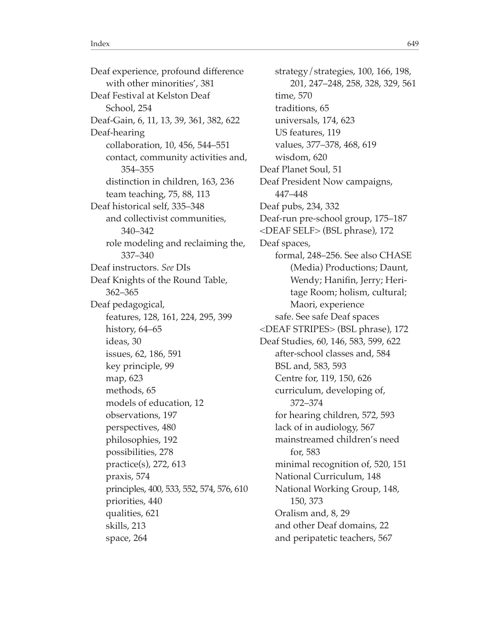Deaf experience, profound diference with other minorities', 381 Deaf Festival at Kelston Deaf School, 254 Deaf-Gain, 6, 11, 13, 39, 361, 382, 622 Deaf-hearing collaboration, 10, 456, 544–551 contact, community activities and, 354–355 distinction in children, 163, 236 team teaching, 75, 88, 113 Deaf historical self, 335–348 and collectivist communities, 340–342 role modeling and reclaiming the, 337–340 Deaf instructors. *See* DIs Deaf Knights of the Round Table, 362–365 Deaf pedagogical, features, 128, 161, 224, 295, 399 history, 64–65 ideas, 30 issues, 62, 186, 591 key principle, 99 map, 623 methods, 65 models of education, 12 observations, 197 perspectives, 480 philosophies, 192 possibilities, 278 practice(s), 272, 613 praxis, 574 principles, 400, 533, 552, 574, 576, 610 priorities, 440 qualities, 621 skills, 213 space, 264

strategy/strategies, 100, 166, 198, 201, 247–248, 258, 328, 329, 561 time, 570 traditions, 65 universals, 174, 623 US features, 119 values, 377–378, 468, 619 wisdom, 620 Deaf Planet Soul, 51 Deaf President Now campaigns, 447–448 Deaf pubs, 234, 332 Deaf-run pre-school group, 175–187 <DEAF SELF> (BSL phrase), 172 Deaf spaces, formal, 248–256. See also CHASE (Media) Productions; Daunt, Wendy; Hanifn, Jerry; Heritage Room; holism, cultural; Maori, experience safe. See safe Deaf spaces <DEAF STRIPES> (BSL phrase), 172 Deaf Studies, 60, 146, 583, 599, 622 after-school classes and, 584 BSL and, 583, 593 Centre for, 119, 150, 626 curriculum, developing of, 372–374 for hearing children, 572, 593 lack of in audiology, 567 mainstreamed children's need for, 583 minimal recognition of, 520, 151 National Curriculum, 148 National Working Group, 148, 150, 373 Oralism and, 8, 29 and other Deaf domains, 22 and peripatetic teachers, 567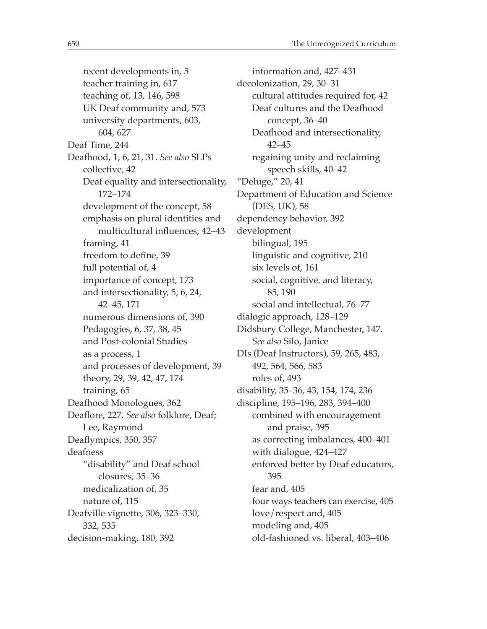recent developments in, 5 teacher training in, 617 teaching of, 13, 146, 598 UK Deaf community and, 573 university departments, 603, 604, 627 Deaf Time, 244 Deafhood, 1, 6, 21, 31. *See also* SLPs collective, 42 Deaf equality and intersectionality, 172–174 development of the concept, 58 emphasis on plural identities and multicultural infuences, 42–43 framing, 41 freedom to define, 39 full potential of, 4 importance of concept, 173 and intersectionality, 5, 6, 24, 42–45, 171 numerous dimensions of, 390 Pedagogies, 6, 37, 38, 45 and Post-colonial Studies as a process, 1 and processes of development, 39 theory, 29, 39, 42, 47, 174 training, 65 Deafhood Monologues, 362 Deafore, 227. *See also* folklore, Deaf; Lee, Raymond Deafympics, 350, 357 deafness "disability" and Deaf school closures, 35–36 medicalization of, 35 nature of, 115 Deafville vignette, 306, 323–330, 332, 535 decision-making, 180, 392

information and, 427–431 decolonization, 29, 30–31 cultural attitudes required for, 42 Deaf cultures and the Deafhood concept, 36–40 Deafhood and intersectionality, 42–45 regaining unity and reclaiming speech skills, 40–42 "Deluge," 20, 41 Department of Education and Science (DES, UK), 58 dependency behavior, 392 development bilingual, 195 linguistic and cognitive, 210 six levels of, 161 social, cognitive, and literacy, 85, 190 social and intellectual, 76–77 dialogic approach, 128–129 Didsbury College, Manchester, 147. *See also* Silo, Janice DIs (Deaf Instructors), 59, 265, 483, 492, 564, 566, 583 roles of, 493 disability, 35–36, 43, 154, 174, 236 discipline, 195–196, 283, 394–400 combined with encouragement and praise, 395 as correcting imbalances, 400–401 with dialogue, 424–427 enforced better by Deaf educators, 395 fear and, 405 four ways teachers can exercise, 405 love/respect and, 405 modeling and, 405 old-fashioned vs. liberal, 403–406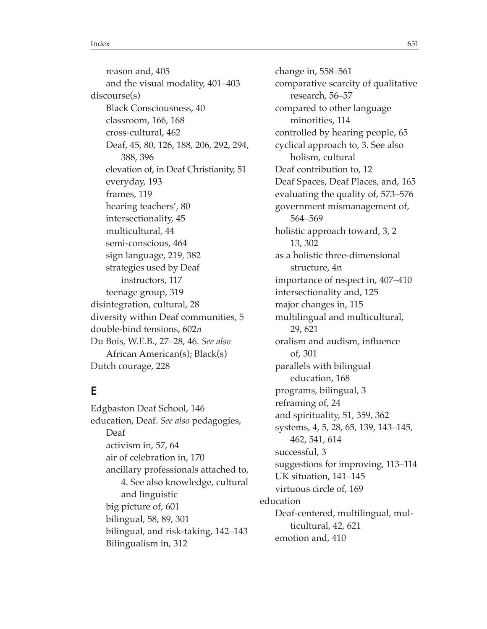reason and, 405 and the visual modality, 401–403 discourse(s) Black Consciousness, 40 classroom, 166, 168 cross-cultural, 462 Deaf, 45, 80, 126, 188, 206, 292, 294, 388, 396 elevation of, in Deaf Christianity, 51 everyday, 193 frames, 119 hearing teachers', 80 intersectionality, 45 multicultural, 44 semi-conscious, 464 sign language, 219, 382 strategies used by Deaf instructors, 117 teenage group, 319 disintegration, cultural, 28 diversity within Deaf communities, 5 double-bind tensions, 602*n* Du Bois, W.E.B., 27–28, 46. *See also* African American(s); Black(s) Dutch courage, 228

## **E**

Edgbaston Deaf School, 146 education, Deaf. *See also* pedagogies, Deaf activism in, 57, 64 air of celebration in, 170 ancillary professionals attached to, 4. See also knowledge, cultural and linguistic big picture of, 601 bilingual, 58, 89, 301 bilingual, and risk-taking, 142–143 Bilingualism in, 312

change in, 558–561 comparative scarcity of qualitative research, 56–57 compared to other language minorities, 114 controlled by hearing people, 65 cyclical approach to, 3. See also holism, cultural Deaf contribution to, 12 Deaf Spaces, Deaf Places, and, 165 evaluating the quality of, 573–576 government mismanagement of, 564–569 holistic approach toward, 3, 2 13, 302 as a holistic three-dimensional structure, 4n importance of respect in, 407–410 intersectionality and, 125 major changes in, 115 multilingual and multicultural, 29, 621 oralism and audism, infuence of, 301 parallels with bilingual education, 168 programs, bilingual, 3 reframing of, 24 and spirituality, 51, 359, 362 systems, 4, 5, 28, 65, 139, 143–145, 462, 541, 614 successful, 3 suggestions for improving, 113–114 UK situation, 141–145 virtuous circle of, 169 education Deaf-centered, multilingual, multicultural, 42, 621 emotion and, 410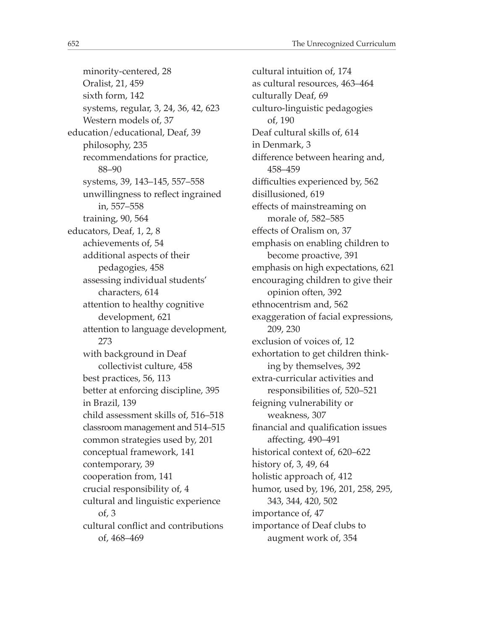minority-centered, 28 Oralist, 21, 459 sixth form, 142 systems, regular, 3, 24, 36, 42, 623 Western models of, 37 education/educational, Deaf, 39 philosophy, 235 recommendations for practice, 88–90 systems, 39, 143–145, 557–558 unwillingness to refect ingrained in, 557–558 training, 90, 564 educators, Deaf, 1, 2, 8 achievements of, 54 additional aspects of their pedagogies, 458 assessing individual students' characters, 614 attention to healthy cognitive development, 621 attention to language development, 273 with background in Deaf collectivist culture, 458 best practices, 56, 113 better at enforcing discipline, 395 in Brazil, 139 child assessment skills of, 516–518 classroom management and 514–515 common strategies used by, 201 conceptual framework, 141 contemporary, 39 cooperation from, 141 crucial responsibility of, 4 cultural and linguistic experience of, 3 cultural confict and contributions of, 468–469

cultural intuition of, 174 as cultural resources, 463–464 culturally Deaf, 69 culturo-linguistic pedagogies of, 190 Deaf cultural skills of, 614 in Denmark, 3 diference between hearing and, 458–459 difficulties experienced by, 562 disillusioned, 619 efects of mainstreaming on morale of, 582–585 efects of Oralism on, 37 emphasis on enabling children to become proactive, 391 emphasis on high expectations, 621 encouraging children to give their opinion often, 392 ethnocentrism and, 562 exaggeration of facial expressions, 209, 230 exclusion of voices of, 12 exhortation to get children thinking by themselves, 392 extra-curricular activities and responsibilities of, 520–521 feigning vulnerability or weakness, 307 fnancial and qualifcation issues afecting, 490–491 historical context of, 620–622 history of, 3, 49, 64 holistic approach of, 412 humor, used by, 196, 201, 258, 295, 343, 344, 420, 502 importance of, 47 importance of Deaf clubs to augment work of, 354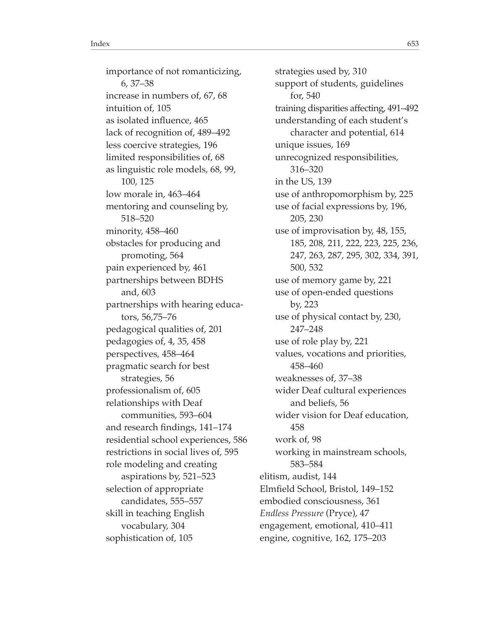importance of not romanticizing, 6, 37–38 increase in numbers of, 67, 68 intuition of, 105 as isolated infuence, 465 lack of recognition of, 489–492 less coercive strategies, 196 limited responsibilities of, 68 as linguistic role models, 68, 99, 100, 125 low morale in, 463–464 mentoring and counseling by, 518–520 minority, 458–460 obstacles for producing and promoting, 564 pain experienced by, 461 partnerships between BDHS and, 603 partnerships with hearing educators, 56,75–76 pedagogical qualities of, 201 pedagogies of, 4, 35, 458 perspectives, 458–464 pragmatic search for best strategies, 56 professionalism of, 605 relationships with Deaf communities, 593–604 and research fndings, 141–174 residential school experiences, 586 restrictions in social lives of, 595 role modeling and creating aspirations by, 521–523 selection of appropriate candidates, 555–557 skill in teaching English vocabulary, 304 sophistication of, 105

strategies used by, 310 support of students, guidelines for, 540 training disparities afecting, 491–492 understanding of each student's character and potential, 614 unique issues, 169 unrecognized responsibilities, 316–320 in the US, 139 use of anthropomorphism by, 225 use of facial expressions by, 196, 205, 230 use of improvisation by, 48, 155, 185, 208, 211, 222, 223, 225, 236, 247, 263, 287, 295, 302, 334, 391, 500, 532 use of memory game by, 221 use of open-ended questions by, 223 use of physical contact by, 230, 247–248 use of role play by, 221 values, vocations and priorities, 458–460 weaknesses of, 37–38 wider Deaf cultural experiences and beliefs, 56 wider vision for Deaf education, 458 work of, 98 working in mainstream schools, 583–584 elitism, audist, 144 Elmfeld School, Bristol, 149–152 embodied consciousness, 361 *Endless Pressure* (Pryce), 47 engagement, emotional, 410–411 engine, cognitive, 162, 175–203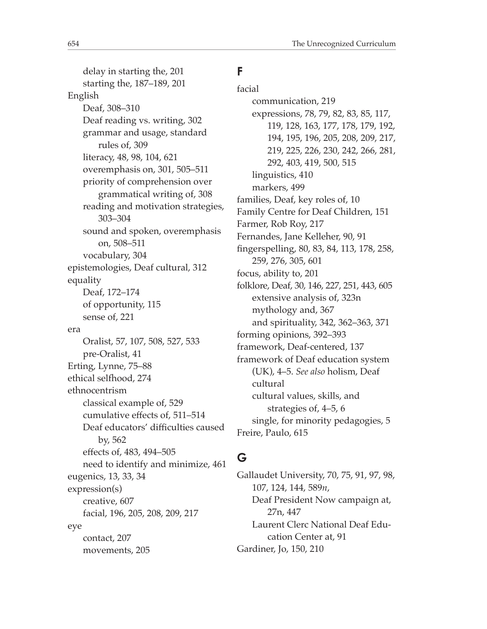delay in starting the, 201 starting the, 187–189, 201 English Deaf, 308–310 Deaf reading vs. writing, 302 grammar and usage, standard rules of, 309 literacy, 48, 98, 104, 621 overemphasis on, 301, 505–511 priority of comprehension over grammatical writing of, 308 reading and motivation strategies, 303–304 sound and spoken, overemphasis on, 508–511 vocabulary, 304 epistemologies, Deaf cultural, 312 equality Deaf, 172–174 of opportunity, 115 sense of, 221 era Oralist, 57, 107, 508, 527, 533 pre-Oralist, 41 Erting, Lynne, 75–88 ethical selfhood, 274 ethnocentrism classical example of, 529 cumulative efects of, 511–514 Deaf educators' difficulties caused by, 562 efects of, 483, 494–505 need to identify and minimize, 461 eugenics, 13, 33, 34 expression(s) creative, 607 facial, 196, 205, 208, 209, 217 eye contact, 207 movements, 205

## **F**

facial communication, 219 expressions, 78, 79, 82, 83, 85, 117, 119, 128, 163, 177, 178, 179, 192, 194, 195, 196, 205, 208, 209, 217, 219, 225, 226, 230, 242, 266, 281, 292, 403, 419, 500, 515 linguistics, 410 markers, 499 families, Deaf, key roles of, 10 Family Centre for Deaf Children, 151 Farmer, Rob Roy, 217 Fernandes, Jane Kelleher, 90, 91 fngerspelling, 80, 83, 84, 113, 178, 258, 259, 276, 305, 601 focus, ability to, 201 folklore, Deaf, 30, 146, 227, 251, 443, 605 extensive analysis of, 323n mythology and, 367 and spirituality, 342, 362–363, 371 forming opinions, 392–393 framework, Deaf-centered, 137 framework of Deaf education system (UK), 4–5. *See also* holism, Deaf cultural cultural values, skills, and strategies of, 4–5, 6 single, for minority pedagogies, 5 Freire, Paulo, 615

# **G**

Gallaudet University, 70, 75, 91, 97, 98, 107, 124, 144, 589*n*, Deaf President Now campaign at, 27n, 447 Laurent Clerc National Deaf Education Center at, 91 Gardiner, Jo, 150, 210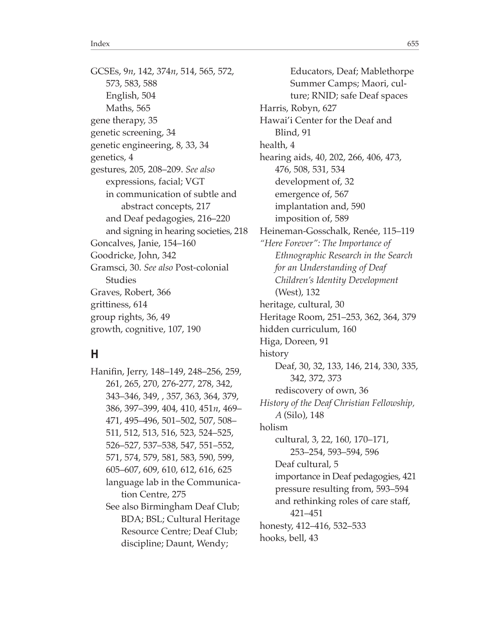GCSEs, 9*n*, 142, 374*n*, 514, 565, 572, 573, 583, 588 English, 504 Maths, 565 gene therapy, 35 genetic screening, 34 genetic engineering, 8, 33, 34 genetics, 4 gestures, 205, 208–209. *See also* expressions, facial; VGT in communication of subtle and abstract concepts, 217 and Deaf pedagogies, 216–220 and signing in hearing societies, 218 Goncalves, Janie, 154–160 Goodricke, John, 342 Gramsci, 30. *See also* Post-colonial Studies Graves, Robert, 366 grittiness, 614 group rights, 36, 49 growth, cognitive, 107, 190

#### **H**

Hanifn, Jerry, 148–149, 248–256, 259, 261, 265, 270, 276-277, 278, 342, 343–346, 349, , 357, 363, 364, 379, 386, 397–399, 404, 410, 451*n*, 469– 471, 495–496, 501–502, 507, 508– 511, 512, 513, 516, 523, 524–525, 526–527, 537–538, 547, 551–552, 571, 574, 579, 581, 583, 590, 599, 605–607, 609, 610, 612, 616, 625 language lab in the Communication Centre, 275 See also Birmingham Deaf Club; BDA; BSL; Cultural Heritage Resource Centre; Deaf Club; discipline; Daunt, Wendy;

Educators, Deaf; Mablethorpe Summer Camps; Maori, culture; RNID; safe Deaf spaces Harris, Robyn, 627 Hawai'i Center for the Deaf and Blind, 91 health, 4 hearing aids, 40, 202, 266, 406, 473, 476, 508, 531, 534 development of, 32 emergence of, 567 implantation and, 590 imposition of, 589 Heineman-Gosschalk, Renée, 115–119 *"Here Forever": The Importance of Ethnographic Research in the Search for an Understanding of Deaf Children's Identity Development* (West), 132 heritage, cultural, 30 Heritage Room, 251–253, 362, 364, 379 hidden curriculum, 160 Higa, Doreen, 91 history Deaf, 30, 32, 133, 146, 214, 330, 335, 342, 372, 373 rediscovery of own, 36 *History of the Deaf Christian Fellowship, A* (Silo), 148 holism cultural, 3, 22, 160, 170–171, 253–254, 593–594, 596 Deaf cultural, 5 importance in Deaf pedagogies, 421 pressure resulting from, 593–594 and rethinking roles of care staff, 421–451 honesty, 412–416, 532–533 hooks, bell, 43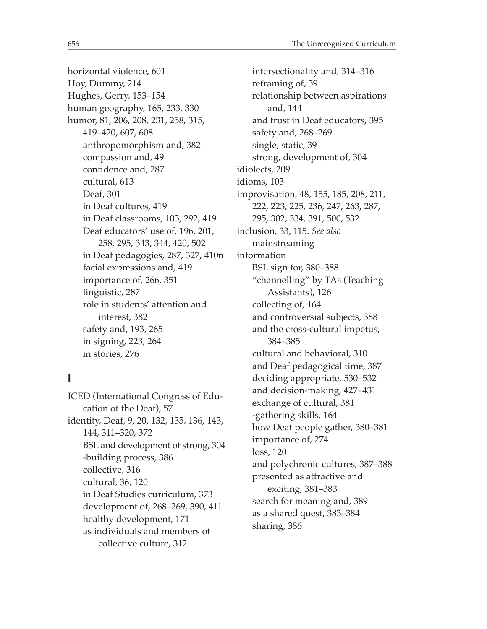horizontal violence, 601 Hoy, Dummy, 214 Hughes, Gerry, 153–154 human geography, 165, 233, 330 humor, 81, 206, 208, 231, 258, 315, 419–420, 607, 608 anthropomorphism and, 382 compassion and, 49 confidence and, 287 cultural, 613 Deaf, 301 in Deaf cultures, 419 in Deaf classrooms, 103, 292, 419 Deaf educators' use of, 196, 201, 258, 295, 343, 344, 420, 502 in Deaf pedagogies, 287, 327, 410n facial expressions and, 419 importance of, 266, 351 linguistic, 287 role in students' attention and interest, 382 safety and, 193, 265 in signing, 223, 264 in stories, 276

# **I**

ICED (International Congress of Education of the Deaf), 57 identity, Deaf, 9, 20, 132, 135, 136, 143, 144, 311–320, 372 BSL and development of strong, 304 -building process, 386 collective, 316 cultural, 36, 120 in Deaf Studies curriculum, 373 development of, 268–269, 390, 411 healthy development, 171 as individuals and members of collective culture, 312

intersectionality and, 314–316 reframing of, 39 relationship between aspirations and, 144 and trust in Deaf educators, 395 safety and, 268–269 single, static, 39 strong, development of, 304 idiolects, 209 idioms, 103 improvisation, 48, 155, 185, 208, 211, 222, 223, 225, 236, 247, 263, 287, 295, 302, 334, 391, 500, 532 inclusion, 33, 115. *See also* mainstreaming information BSL sign for, 380–388 "channelling" by TAs (Teaching Assistants), 126 collecting of, 164 and controversial subjects, 388 and the cross-cultural impetus, 384–385 cultural and behavioral, 310 and Deaf pedagogical time, 387 deciding appropriate, 530–532 and decision-making, 427–431 exchange of cultural, 381 -gathering skills, 164 how Deaf people gather, 380–381 importance of, 274 loss, 120 and polychronic cultures, 387–388 presented as attractive and exciting, 381–383 search for meaning and, 389 as a shared quest, 383–384 sharing, 386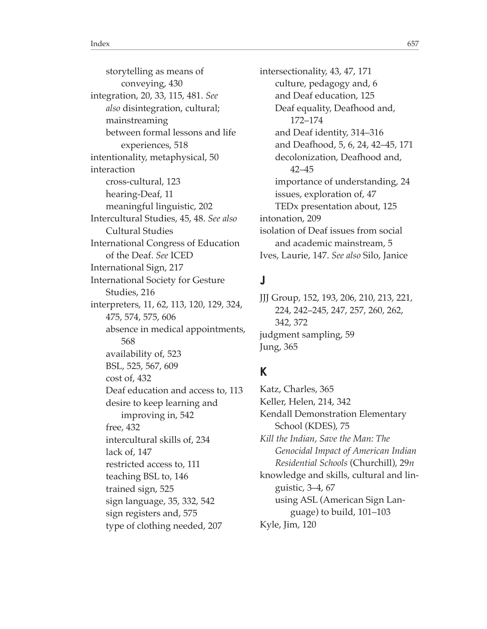storytelling as means of conveying, 430 integration, 20, 33, 115, 481. *See also* disintegration, cultural; mainstreaming between formal lessons and life experiences, 518 intentionality, metaphysical, 50 interaction cross-cultural, 123 hearing-Deaf, 11 meaningful linguistic, 202 Intercultural Studies, 45, 48. *See also* Cultural Studies International Congress of Education of the Deaf. *See* ICED International Sign, 217 International Society for Gesture Studies, 216 interpreters, 11, 62, 113, 120, 129, 324, 475, 574, 575, 606 absence in medical appointments, 568 availability of, 523 BSL, 525, 567, 609 cost of, 432 Deaf education and access to, 113 desire to keep learning and improving in, 542 free, 432 intercultural skills of, 234 lack of, 147 restricted access to, 111 teaching BSL to, 146 trained sign, 525 sign language, 35, 332, 542 sign registers and, 575 type of clothing needed, 207

intersectionality, 43, 47, 171 culture, pedagogy and, 6 and Deaf education, 125 Deaf equality, Deafhood and, 172–174 and Deaf identity, 314–316 and Deafhood, 5, 6, 24, 42–45, 171 decolonization, Deafhood and, 42–45 importance of understanding, 24 issues, exploration of, 47 TEDx presentation about, 125 intonation, 209 isolation of Deaf issues from social and academic mainstream, 5 Ives, Laurie, 147. *See also* Silo, Janice

# **J**

JJJ Group, 152, 193, 206, 210, 213, 221, 224, 242–245, 247, 257, 260, 262, 342, 372 judgment sampling, 59 Jung, 365

# **K**

Katz, Charles, 365 Keller, Helen, 214, 342 Kendall Demonstration Elementary School (KDES), 75 *Kill the Indian, Save the Man: The Genocidal Impact of American Indian Residential Schools* (Churchill), 29*n* knowledge and skills, cultural and linguistic, 3–4, 67 using ASL (American Sign Language) to build, 101–103 Kyle, Jim, 120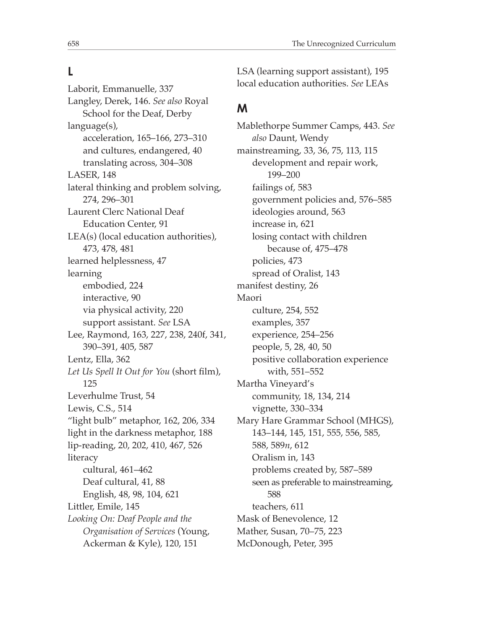#### **L**

Laborit, Emmanuelle, 337 Langley, Derek, 146. *See also* Royal School for the Deaf, Derby language(s), acceleration, 165–166, 273–310 and cultures, endangered, 40 translating across, 304–308 LASER, 148 lateral thinking and problem solving, 274, 296–301 Laurent Clerc National Deaf Education Center, 91 LEA(s) (local education authorities), 473, 478, 481 learned helplessness, 47 learning embodied, 224 interactive, 90 via physical activity, 220 support assistant. *See* LSA Lee, Raymond, 163, 227, 238, 240f, 341, 390–391, 405, 587 Lentz, Ella, 362 *Let Us Spell It Out for You* (short flm), 125 Leverhulme Trust, 54 Lewis, C.S., 514 "light bulb" metaphor, 162, 206, 334 light in the darkness metaphor, 188 lip-reading, 20, 202, 410, 467, 526 literacy cultural, 461–462 Deaf cultural, 41, 88 English, 48, 98, 104, 621 Littler, Emile, 145 *Looking On: Deaf People and the Organisation of Services* (Young, Ackerman & Kyle), 120, 151

LSA (learning support assistant), 195 local education authorities. *See* LEAs

## **M**

Mablethorpe Summer Camps, 443. *See also* Daunt, Wendy mainstreaming, 33, 36, 75, 113, 115 development and repair work, 199–200 failings of, 583 government policies and, 576–585 ideologies around, 563 increase in, 621 losing contact with children because of, 475–478 policies, 473 spread of Oralist, 143 manifest destiny, 26 Maori culture, 254, 552 examples, 357 experience, 254–256 people, 5, 28, 40, 50 positive collaboration experience with, 551–552 Martha Vineyard's community, 18, 134, 214 vignette, 330–334 Mary Hare Grammar School (MHGS), 143–144, 145, 151, 555, 556, 585, 588, 589*n*, 612 Oralism in, 143 problems created by, 587–589 seen as preferable to mainstreaming, 588 teachers, 611 Mask of Benevolence, 12 Mather, Susan, 70–75, 223 McDonough, Peter, 395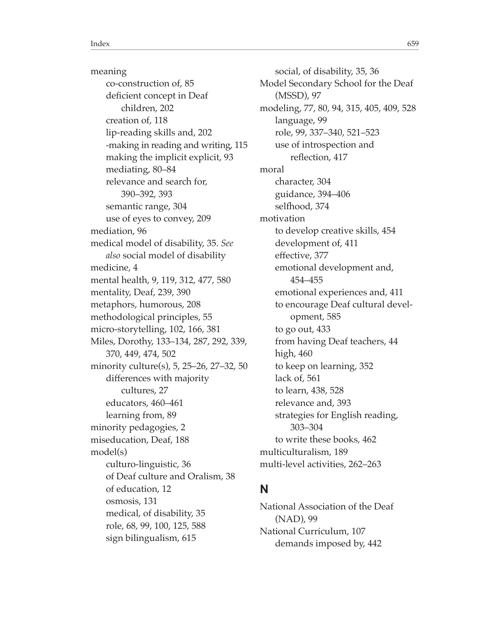meaning co-construction of, 85 deficient concept in Deaf children, 202 creation of, 118 lip-reading skills and, 202 -making in reading and writing, 115 making the implicit explicit, 93 mediating, 80–84 relevance and search for, 390–392, 393 semantic range, 304 use of eyes to convey, 209 mediation, 96 medical model of disability, 35. *See also* social model of disability medicine, 4 mental health, 9, 119, 312, 477, 580 mentality, Deaf, 239, 390 metaphors, humorous, 208 methodological principles, 55 micro-storytelling, 102, 166, 381 Miles, Dorothy, 133–134, 287, 292, 339, 370, 449, 474, 502 minority culture(s), 5, 25–26, 27–32, 50 diferences with majority cultures, 27 educators, 460–461 learning from, 89 minority pedagogies, 2 miseducation, Deaf, 188 model(s) culturo-linguistic, 36 of Deaf culture and Oralism, 38 of education, 12 osmosis, 131 medical, of disability, 35 role, 68, 99, 100, 125, 588 sign bilingualism, 615

social, of disability, 35, 36 Model Secondary School for the Deaf (MSSD), 97 modeling, 77, 80, 94, 315, 405, 409, 528 language, 99 role, 99, 337–340, 521–523 use of introspection and refection, 417 moral character, 304 guidance, 394–406 selfhood, 374 motivation to develop creative skills, 454 development of, 411 efective, 377 emotional development and, 454–455 emotional experiences and, 411 to encourage Deaf cultural development, 585 to go out, 433 from having Deaf teachers, 44 high, 460 to keep on learning, 352 lack of, 561 to learn, 438, 528 relevance and, 393 strategies for English reading, 303–304 to write these books, 462 multiculturalism, 189 multi-level activities, 262–263

## **N**

National Association of the Deaf (NAD), 99 National Curriculum, 107 demands imposed by, 442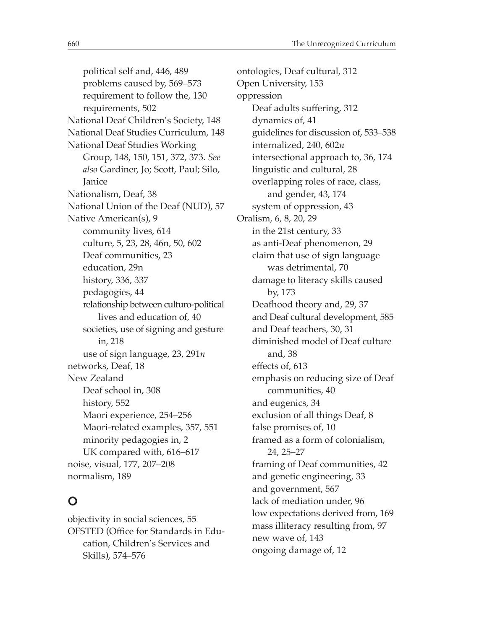political self and, 446, 489 problems caused by, 569–573 requirement to follow the, 130 requirements, 502 National Deaf Children's Society, 148 National Deaf Studies Curriculum, 148 National Deaf Studies Working Group, 148, 150, 151, 372, 373. *See also* Gardiner, Jo; Scott, Paul; Silo, Janice Nationalism, Deaf, 38 National Union of the Deaf (NUD), 57 Native American(s), 9 community lives, 614 culture, 5, 23, 28, 46n, 50, 602 Deaf communities, 23 education, 29n history, 336, 337 pedagogies, 44 relationship between culturo-political lives and education of, 40 societies, use of signing and gesture in, 218 use of sign language, 23, 291*n* networks, Deaf, 18 New Zealand Deaf school in, 308 history, 552 Maori experience, 254–256 Maori-related examples, 357, 551 minority pedagogies in, 2 UK compared with, 616–617 noise, visual, 177, 207–208 normalism, 189

# **O**

objectivity in social sciences, 55 OFSTED (Office for Standards in Education, Children's Services and Skills), 574–576

ontologies, Deaf cultural, 312 Open University, 153 oppression Deaf adults suffering, 312 dynamics of, 41 guidelines for discussion of, 533–538 internalized, 240, 602*n* intersectional approach to, 36, 174 linguistic and cultural, 28 overlapping roles of race, class, and gender, 43, 174 system of oppression, 43 Oralism, 6, 8, 20, 29 in the 21st century, 33 as anti-Deaf phenomenon, 29 claim that use of sign language was detrimental, 70 damage to literacy skills caused by, 173 Deafhood theory and, 29, 37 and Deaf cultural development, 585 and Deaf teachers, 30, 31 diminished model of Deaf culture and, 38 efects of, 613 emphasis on reducing size of Deaf communities, 40 and eugenics, 34 exclusion of all things Deaf, 8 false promises of, 10 framed as a form of colonialism, 24, 25–27 framing of Deaf communities, 42 and genetic engineering, 33 and government, 567 lack of mediation under, 96 low expectations derived from, 169 mass illiteracy resulting from, 97 new wave of, 143 ongoing damage of, 12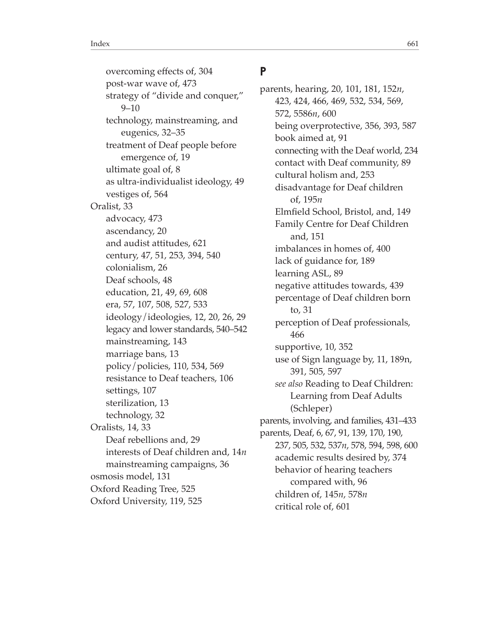overcoming efects of, 304 post-war wave of, 473 strategy of "divide and conquer," 9–10 technology, mainstreaming, and eugenics, 32–35 treatment of Deaf people before emergence of, 19 ultimate goal of, 8 as ultra-individualist ideology, 49 vestiges of, 564 Oralist, 33 advocacy, 473 ascendancy, 20 and audist attitudes, 621 century, 47, 51, 253, 394, 540 colonialism, 26 Deaf schools, 48 education, 21, 49, 69, 608 era, 57, 107, 508, 527, 533 ideology/ideologies, 12, 20, 26, 29 legacy and lower standards, 540–542 mainstreaming, 143 marriage bans, 13 policy/policies, 110, 534, 569 resistance to Deaf teachers, 106 settings, 107 sterilization, 13 technology, 32 Oralists, 14, 33 Deaf rebellions and, 29 interests of Deaf children and, 14*n* mainstreaming campaigns, 36 osmosis model, 131 Oxford Reading Tree, 525 Oxford University, 119, 525

#### **P**

parents, hearing, 20, 101, 181, 152*n*, 423, 424, 466, 469, 532, 534, 569, 572, 5586*n*, 600 being overprotective, 356, 393, 587 book aimed at, 91 connecting with the Deaf world, 234 contact with Deaf community, 89 cultural holism and, 253 disadvantage for Deaf children of, 195*n* Elmfeld School, Bristol, and, 149 Family Centre for Deaf Children and, 151 imbalances in homes of, 400 lack of guidance for, 189 learning ASL, 89 negative attitudes towards, 439 percentage of Deaf children born to, 31 perception of Deaf professionals, 466 supportive, 10, 352 use of Sign language by, 11, 189n, 391, 505, 597 *see also* Reading to Deaf Children: Learning from Deaf Adults (Schleper) parents, involving, and families, 431–433 parents, Deaf, 6, 67, 91, 139, 170, 190, 237, 505, 532, 537*n*, 578, 594, 598, 600 academic results desired by, 374 behavior of hearing teachers compared with, 96 children of, 145*n*, 578*n* critical role of, 601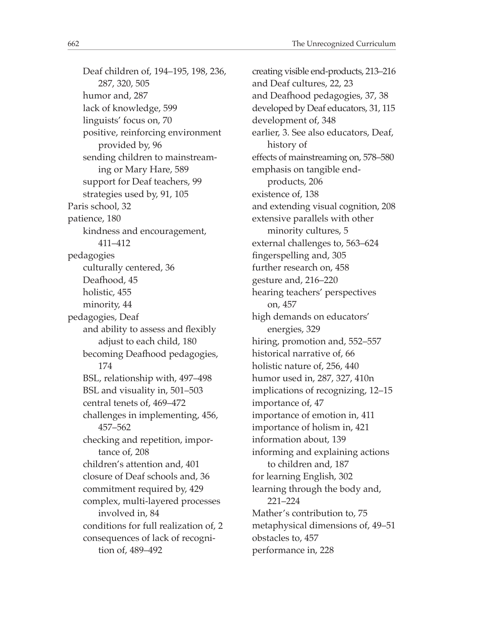Deaf children of, 194–195, 198, 236, 287, 320, 505 humor and, 287 lack of knowledge, 599 linguists' focus on, 70 positive, reinforcing environment provided by, 96 sending children to mainstreaming or Mary Hare, 589 support for Deaf teachers, 99 strategies used by, 91, 105 Paris school, 32 patience, 180 kindness and encouragement, 411–412 pedagogies culturally centered, 36 Deafhood, 45 holistic, 455 minority, 44 pedagogies, Deaf and ability to assess and fexibly adjust to each child, 180 becoming Deafhood pedagogies, 174 BSL, relationship with, 497–498 BSL and visuality in, 501–503 central tenets of, 469–472 challenges in implementing, 456, 457–562 checking and repetition, importance of, 208 children's attention and, 401 closure of Deaf schools and, 36 commitment required by, 429 complex, multi-layered processes involved in, 84 conditions for full realization of, 2 consequences of lack of recognition of, 489–492

creating visible end-products, 213–216 and Deaf cultures, 22, 23 and Deafhood pedagogies, 37, 38 developed by Deaf educators, 31, 115 development of, 348 earlier, 3. See also educators, Deaf, history of efects of mainstreaming on, 578–580 emphasis on tangible endproducts, 206 existence of, 138 and extending visual cognition, 208 extensive parallels with other minority cultures, 5 external challenges to, 563–624 fngerspelling and, 305 further research on, 458 gesture and, 216–220 hearing teachers' perspectives on, 457 high demands on educators' energies, 329 hiring, promotion and, 552–557 historical narrative of, 66 holistic nature of, 256, 440 humor used in, 287, 327, 410n implications of recognizing, 12–15 importance of, 47 importance of emotion in, 411 importance of holism in, 421 information about, 139 informing and explaining actions to children and, 187 for learning English, 302 learning through the body and, 221–224 Mather's contribution to, 75 metaphysical dimensions of, 49–51 obstacles to, 457 performance in, 228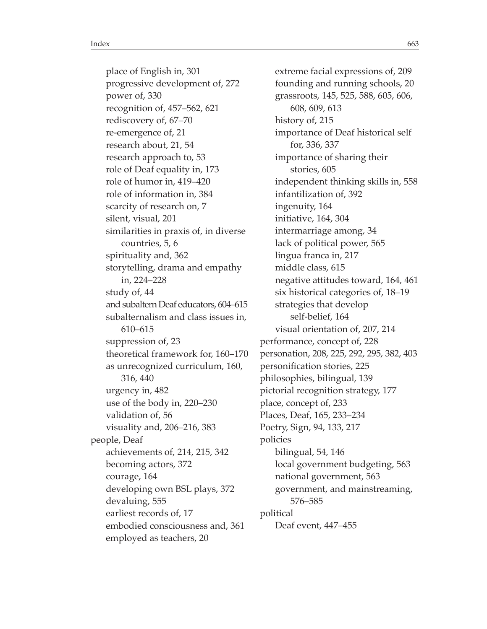place of English in, 301 progressive development of, 272 power of, 330 recognition of, 457–562, 621 rediscovery of, 67–70 re-emergence of, 21 research about, 21, 54 research approach to, 53 role of Deaf equality in, 173 role of humor in, 419–420 role of information in, 384 scarcity of research on, 7 silent, visual, 201 similarities in praxis of, in diverse countries, 5, 6 spirituality and, 362 storytelling, drama and empathy in, 224–228 study of, 44 and subaltern Deaf educators, 604–615 subalternalism and class issues in, 610–615 suppression of, 23 theoretical framework for, 160–170 as unrecognized curriculum, 160, 316, 440 urgency in, 482 use of the body in, 220–230 validation of, 56 visuality and, 206–216, 383 people, Deaf achievements of, 214, 215, 342 becoming actors, 372 courage, 164 developing own BSL plays, 372 devaluing, 555 earliest records of, 17 embodied consciousness and, 361 employed as teachers, 20

extreme facial expressions of, 209 founding and running schools, 20 grassroots, 145, 525, 588, 605, 606, 608, 609, 613 history of, 215 importance of Deaf historical self for, 336, 337 importance of sharing their stories, 605 independent thinking skills in, 558 infantilization of, 392 ingenuity, 164 initiative, 164, 304 intermarriage among, 34 lack of political power, 565 lingua franca in, 217 middle class, 615 negative attitudes toward, 164, 461 six historical categories of, 18–19 strategies that develop self-belief, 164 visual orientation of, 207, 214 performance, concept of, 228 personation, 208, 225, 292, 295, 382, 403 personifcation stories, 225 philosophies, bilingual, 139 pictorial recognition strategy, 177 place, concept of, 233 Places, Deaf, 165, 233–234 Poetry, Sign, 94, 133, 217 policies bilingual, 54, 146 local government budgeting, 563 national government, 563 government, and mainstreaming, 576–585 political Deaf event, 447–455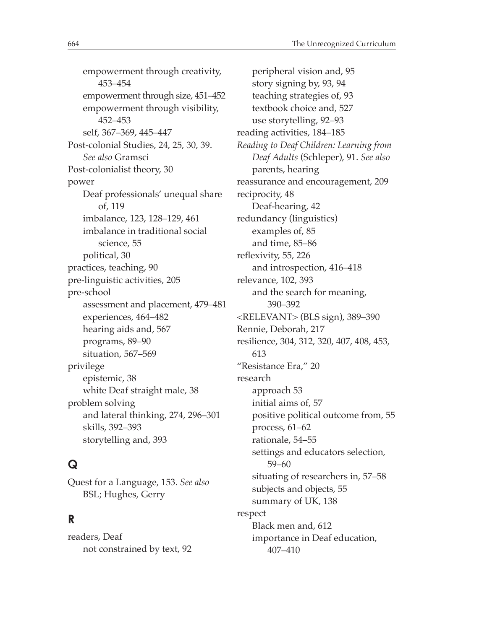empowerment through creativity, 453–454 empowerment through size, 451–452 empowerment through visibility, 452–453 self, 367–369, 445–447 Post-colonial Studies, 24, 25, 30, 39. *See also* Gramsci Post-colonialist theory, 30 power Deaf professionals' unequal share of, 119 imbalance, 123, 128–129, 461 imbalance in traditional social science, 55 political, 30 practices, teaching, 90 pre-linguistic activities, 205 pre-school assessment and placement, 479–481 experiences, 464–482 hearing aids and, 567 programs, 89–90 situation, 567–569 privilege epistemic, 38 white Deaf straight male, 38 problem solving and lateral thinking, 274, 296–301 skills, 392–393 storytelling and, 393

# **Q**

Quest for a Language, 153. *See also* BSL; Hughes, Gerry

# **R**

readers, Deaf not constrained by text, 92

peripheral vision and, 95 story signing by, 93, 94 teaching strategies of, 93 textbook choice and, 527 use storytelling, 92–93 reading activities, 184–185 *Reading to Deaf Children: Learning from Deaf Adults* (Schleper), 91. *See also* parents, hearing reassurance and encouragement, 209 reciprocity, 48 Deaf-hearing, 42 redundancy (linguistics) examples of, 85 and time, 85–86 refexivity, 55, 226 and introspection, 416–418 relevance, 102, 393 and the search for meaning, 390–392 <RELEVANT> (BLS sign), 389–390 Rennie, Deborah, 217 resilience, 304, 312, 320, 407, 408, 453, 613 "Resistance Era," 20 research approach 53 initial aims of, 57 positive political outcome from, 55 process, 61–62 rationale, 54–55 settings and educators selection, 59–60 situating of researchers in, 57–58 subjects and objects, 55 summary of UK, 138 respect Black men and, 612 importance in Deaf education, 407–410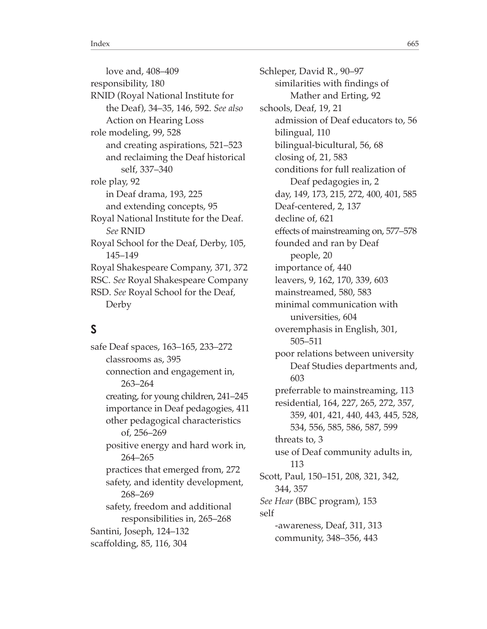love and, 408–409 responsibility, 180 RNID (Royal National Institute for the Deaf), 34–35, 146, 592. *See also* Action on Hearing Loss role modeling, 99, 528 and creating aspirations, 521–523 and reclaiming the Deaf historical self, 337–340 role play, 92 in Deaf drama, 193, 225 and extending concepts, 95 Royal National Institute for the Deaf. *See* RNID Royal School for the Deaf, Derby, 105, 145–149 Royal Shakespeare Company, 371, 372 RSC. *See* Royal Shakespeare Company RSD. *See* Royal School for the Deaf, Derby

## **S**

safe Deaf spaces, 163–165, 233–272 classrooms as, 395 connection and engagement in, 263–264 creating, for young children, 241–245 importance in Deaf pedagogies, 411 other pedagogical characteristics of, 256–269 positive energy and hard work in, 264–265 practices that emerged from, 272 safety, and identity development, 268–269 safety, freedom and additional responsibilities in, 265–268 Santini, Joseph, 124–132 scafolding, 85, 116, 304

Schleper, David R., 90–97 similarities with fndings of Mather and Erting, 92 schools, Deaf, 19, 21 admission of Deaf educators to, 56 bilingual, 110 bilingual-bicultural, 56, 68 closing of, 21, 583 conditions for full realization of Deaf pedagogies in, 2 day, 149, 173, 215, 272, 400, 401, 585 Deaf-centered, 2, 137 decline of, 621 efects of mainstreaming on, 577–578 founded and ran by Deaf people, 20 importance of, 440 leavers, 9, 162, 170, 339, 603 mainstreamed, 580, 583 minimal communication with universities, 604 overemphasis in English, 301, 505–511 poor relations between university Deaf Studies departments and, 603 preferrable to mainstreaming, 113 residential, 164, 227, 265, 272, 357, 359, 401, 421, 440, 443, 445, 528, 534, 556, 585, 586, 587, 599 threats to, 3 use of Deaf community adults in, 113 Scott, Paul, 150–151, 208, 321, 342, 344, 357 *See Hear* (BBC program), 153 self -awareness, Deaf, 311, 313 community, 348–356, 443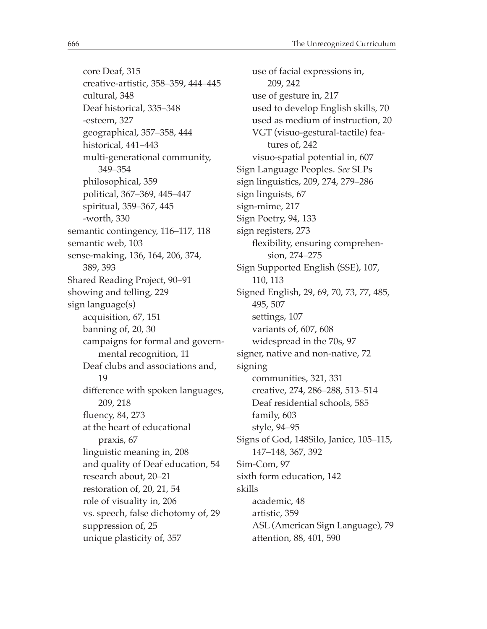core Deaf, 315 creative-artistic, 358–359, 444–445 cultural, 348 Deaf historical, 335–348 -esteem, 327 geographical, 357–358, 444 historical, 441–443 multi-generational community, 349–354 philosophical, 359 political, 367–369, 445–447 spiritual, 359–367, 445 -worth, 330 semantic contingency, 116–117, 118 semantic web, 103 sense-making, 136, 164, 206, 374, 389, 393 Shared Reading Project, 90–91 showing and telling, 229 sign language(s) acquisition, 67, 151 banning of, 20, 30 campaigns for formal and governmental recognition, 11 Deaf clubs and associations and, 19 diference with spoken languages, 209, 218 fuency, 84, 273 at the heart of educational praxis, 67 linguistic meaning in, 208 and quality of Deaf education, 54 research about, 20–21 restoration of, 20, 21, 54 role of visuality in, 206 vs. speech, false dichotomy of, 29 suppression of, 25 unique plasticity of, 357

use of facial expressions in, 209, 242 use of gesture in, 217 used to develop English skills, 70 used as medium of instruction, 20 VGT (visuo-gestural-tactile) features of, 242 visuo-spatial potential in, 607 Sign Language Peoples. *See* SLPs sign linguistics, 209, 274, 279–286 sign linguists, 67 sign-mime, 217 Sign Poetry, 94, 133 sign registers, 273 fexibility, ensuring comprehension, 274–275 Sign Supported English (SSE), 107, 110, 113 Signed English, 29, 69, 70, 73, 77, 485, 495, 507 settings, 107 variants of, 607, 608 widespread in the 70s, 97 signer, native and non-native, 72 signing communities, 321, 331 creative, 274, 286–288, 513–514 Deaf residential schools, 585 family, 603 style, 94–95 Signs of God, 148Silo, Janice, 105–115, 147–148, 367, 392 Sim-Com, 97 sixth form education, 142 skills academic, 48 artistic, 359 ASL (American Sign Language), 79 attention, 88, 401, 590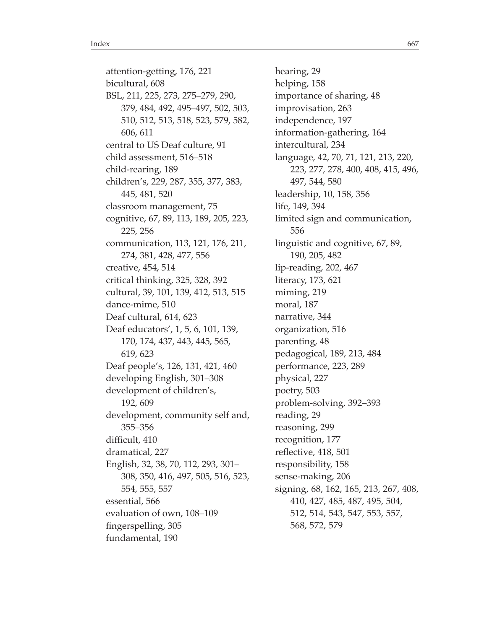attention-getting, 176, 221 bicultural, 608 BSL, 211, 225, 273, 275–279, 290, 379, 484, 492, 495–497, 502, 503, 510, 512, 513, 518, 523, 579, 582, 606, 611 central to US Deaf culture, 91 child assessment, 516–518 child-rearing, 189 children's, 229, 287, 355, 377, 383, 445, 481, 520 classroom management, 75 cognitive, 67, 89, 113, 189, 205, 223, 225, 256 communication, 113, 121, 176, 211, 274, 381, 428, 477, 556 creative, 454, 514 critical thinking, 325, 328, 392 cultural, 39, 101, 139, 412, 513, 515 dance-mime, 510 Deaf cultural, 614, 623 Deaf educators', 1, 5, 6, 101, 139, 170, 174, 437, 443, 445, 565, 619, 623 Deaf people's, 126, 131, 421, 460 developing English, 301–308 development of children's, 192, 609 development, community self and, 355–356 difficult, 410 dramatical, 227 English, 32, 38, 70, 112, 293, 301– 308, 350, 416, 497, 505, 516, 523, 554, 555, 557 essential, 566 evaluation of own, 108–109 fngerspelling, 305 fundamental, 190

hearing, 29 helping, 158 importance of sharing, 48 improvisation, 263 independence, 197 information-gathering, 164 intercultural, 234 language, 42, 70, 71, 121, 213, 220, 223, 277, 278, 400, 408, 415, 496, 497, 544, 580 leadership, 10, 158, 356 life, 149, 394 limited sign and communication, 556 linguistic and cognitive, 67, 89, 190, 205, 482 lip-reading, 202, 467 literacy, 173, 621 miming, 219 moral, 187 narrative, 344 organization, 516 parenting, 48 pedagogical, 189, 213, 484 performance, 223, 289 physical, 227 poetry, 503 problem-solving, 392–393 reading, 29 reasoning, 299 recognition, 177 refective, 418, 501 responsibility, 158 sense-making, 206 signing, 68, 162, 165, 213, 267, 408, 410, 427, 485, 487, 495, 504, 512, 514, 543, 547, 553, 557, 568, 572, 579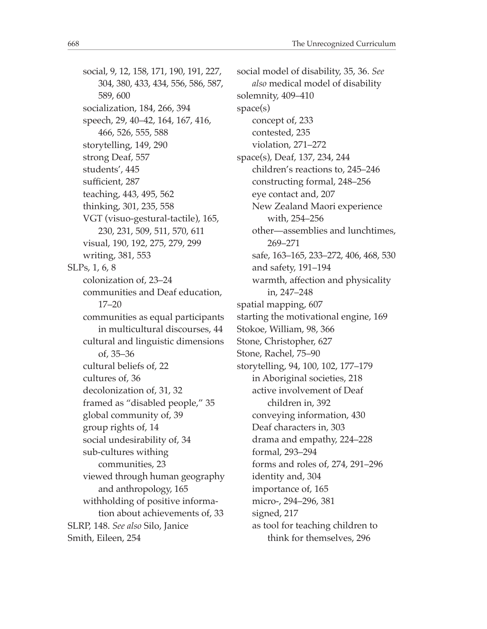social, 9, 12, 158, 171, 190, 191, 227, 304, 380, 433, 434, 556, 586, 587, 589, 600 socialization, 184, 266, 394 speech, 29, 40–42, 164, 167, 416, 466, 526, 555, 588 storytelling, 149, 290 strong Deaf, 557 students', 445 sufficient, 287 teaching, 443, 495, 562 thinking, 301, 235, 558 VGT (visuo-gestural-tactile), 165, 230, 231, 509, 511, 570, 611 visual, 190, 192, 275, 279, 299 writing, 381, 553 SLPs, 1, 6, 8 colonization of, 23–24 communities and Deaf education, 17–20 communities as equal participants in multicultural discourses, 44 cultural and linguistic dimensions of, 35–36 cultural beliefs of, 22 cultures of, 36 decolonization of, 31, 32 framed as "disabled people," 35 global community of, 39 group rights of, 14 social undesirability of, 34 sub-cultures withing communities, 23 viewed through human geography and anthropology, 165 withholding of positive information about achievements of, 33 SLRP, 148. *See also* Silo, Janice Smith, Eileen, 254

social model of disability, 35, 36. *See also* medical model of disability solemnity, 409–410 space(s) concept of, 233 contested, 235 violation, 271–272 space(s), Deaf, 137, 234, 244 children's reactions to, 245–246 constructing formal, 248–256 eye contact and, 207 New Zealand Maori experience with, 254–256 other—assemblies and lunchtimes, 269–271 safe, 163–165, 233–272, 406, 468, 530 and safety, 191–194 warmth, afection and physicality in, 247–248 spatial mapping, 607 starting the motivational engine, 169 Stokoe, William, 98, 366 Stone, Christopher, 627 Stone, Rachel, 75–90 storytelling, 94, 100, 102, 177–179 in Aboriginal societies, 218 active involvement of Deaf children in, 392 conveying information, 430 Deaf characters in, 303 drama and empathy, 224–228 formal, 293–294 forms and roles of, 274, 291–296 identity and, 304 importance of, 165 micro-, 294–296, 381 signed, 217 as tool for teaching children to think for themselves, 296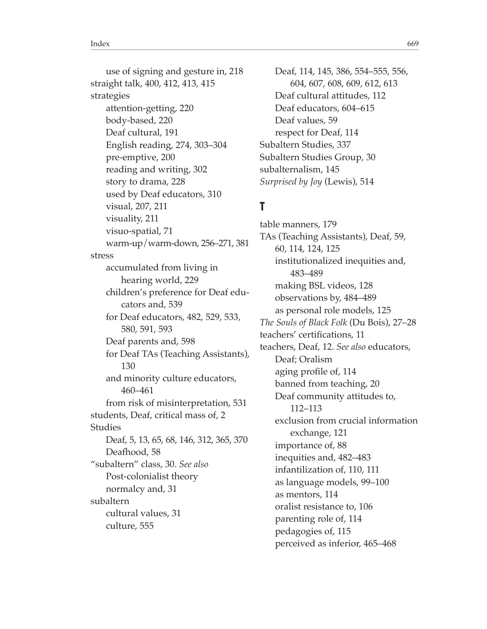use of signing and gesture in, 218 straight talk, 400, 412, 413, 415 strategies attention-getting, 220 body-based, 220 Deaf cultural, 191 English reading, 274, 303–304 pre-emptive, 200 reading and writing, 302 story to drama, 228 used by Deaf educators, 310 visual, 207, 211 visuality, 211 visuo-spatial, 71 warm-up/warm-down, 256–271, 381 stress accumulated from living in hearing world, 229 children's preference for Deaf educators and, 539 for Deaf educators, 482, 529, 533, 580, 591, 593 Deaf parents and, 598 for Deaf TAs (Teaching Assistants), 130 and minority culture educators, 460–461 from risk of misinterpretation, 531 students, Deaf, critical mass of, 2 Studies Deaf, 5, 13, 65, 68, 146, 312, 365, 370 Deafhood, 58 "subaltern" class, 30. *See also* Post-colonialist theory normalcy and, 31 subaltern cultural values, 31 culture, 555

Deaf, 114, 145, 386, 554–555, 556, 604, 607, 608, 609, 612, 613 Deaf cultural attitudes, 112 Deaf educators, 604–615 Deaf values, 59 respect for Deaf, 114 Subaltern Studies, 337 Subaltern Studies Group, 30 subalternalism, 145 *Surprised by Joy* (Lewis), 514

## **T**

table manners, 179 TAs (Teaching Assistants), Deaf, 59, 60, 114, 124, 125 institutionalized inequities and, 483–489 making BSL videos, 128 observations by, 484–489 as personal role models, 125 *The Souls of Black Folk* (Du Bois), 27–28 teachers' certifcations, 11 teachers, Deaf, 12. *See also* educators, Deaf; Oralism aging profle of, 114 banned from teaching, 20 Deaf community attitudes to, 112–113 exclusion from crucial information exchange, 121 importance of, 88 inequities and, 482–483 infantilization of, 110, 111 as language models, 99–100 as mentors, 114 oralist resistance to, 106 parenting role of, 114 pedagogies of, 115 perceived as inferior, 465–468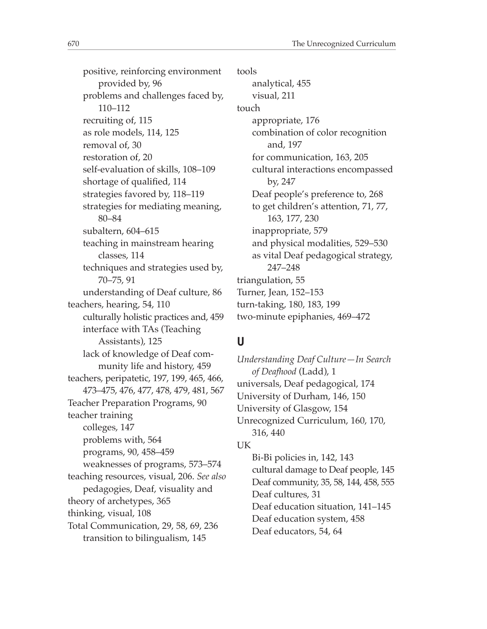positive, reinforcing environment provided by, 96 problems and challenges faced by, 110–112 recruiting of, 115 as role models, 114, 125 removal of, 30 restoration of, 20 self-evaluation of skills, 108–109 shortage of qualifed, 114 strategies favored by, 118–119 strategies for mediating meaning, 80–84 subaltern, 604–615 teaching in mainstream hearing classes, 114 techniques and strategies used by, 70–75, 91 understanding of Deaf culture, 86 teachers, hearing, 54, 110 culturally holistic practices and, 459 interface with TAs (Teaching Assistants), 125 lack of knowledge of Deaf community life and history, 459 teachers, peripatetic, 197, 199, 465, 466, 473–475, 476, 477, 478, 479, 481, 567 Teacher Preparation Programs, 90 teacher training colleges, 147 problems with, 564 programs, 90, 458–459 weaknesses of programs, 573–574 teaching resources, visual, 206. *See also* pedagogies, Deaf, visuality and theory of archetypes, 365 thinking, visual, 108 Total Communication, 29, 58, 69, 236 transition to bilingualism, 145

tools analytical, 455 visual, 211 touch appropriate, 176 combination of color recognition and, 197 for communication, 163, 205 cultural interactions encompassed by, 247 Deaf people's preference to, 268 to get children's attention, 71, 77, 163, 177, 230 inappropriate, 579 and physical modalities, 529–530 as vital Deaf pedagogical strategy, 247–248 triangulation, 55 Turner, Jean, 152–153 turn-taking, 180, 183, 199 two-minute epiphanies, 469–472

#### **U**

*Understanding Deaf Culture—In Search of Deafhood* (Ladd), 1 universals, Deaf pedagogical, 174 University of Durham, 146, 150 University of Glasgow, 154 Unrecognized Curriculum, 160, 170, 316, 440 UK Bi-Bi policies in, 142, 143 cultural damage to Deaf people, 145 Deaf community, 35, 58, 144, 458, 555

Deaf cultures, 31 Deaf education situation, 141–145 Deaf education system, 458 Deaf educators, 54, 64